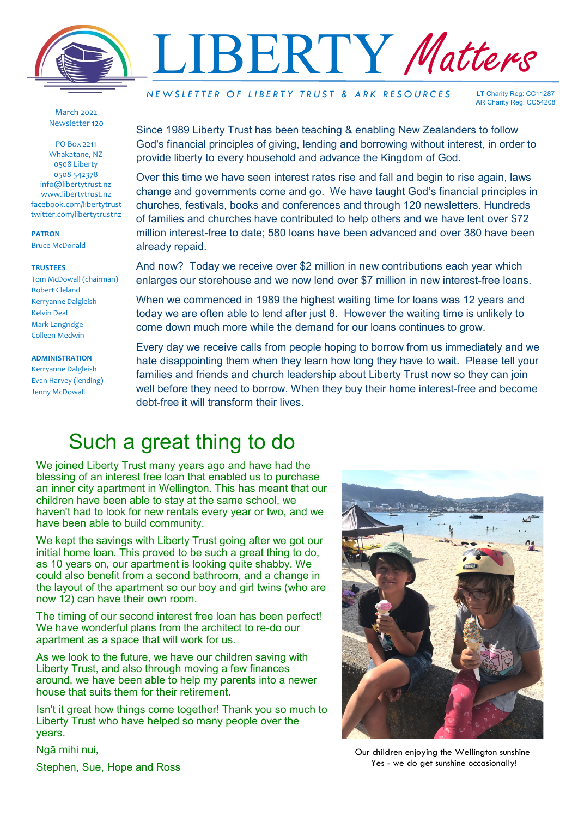

March 2022 Newsletter 120

PO Box 2211 Whakatane, NZ 0508 Liberty 0508 542378 info@libertytrust.nz www.libertytrust.nz facebook.com/libertytrust twitter.com/libertytrustnz

**PATRON**

Bruce McDonald

## **TRUSTEES**

Tom McDowall (chairman) Robert Cleland Kerryanne Dalgleish Kelvin Deal Mark Langridge Colleen Medwin

**ADMINISTRATION**

Kerryanne Dalgleish Evan Harvey (lending) Jenny McDowall

*N E W S L E T T E R O F L I B E R T Y T R U S T & A R K R E S O U R C E S* 

LT Charity Reg: CC11287 AR Charity Reg: CC54208

Since 1989 Liberty Trust has been teaching & enabling New Zealanders to follow God's financial principles of giving, lending and borrowing without interest, in order to provide liberty to every household and advance the Kingdom of God.

Over this time we have seen interest rates rise and fall and begin to rise again, laws change and governments come and go. We have taught God's financial principles in churches, festivals, books and conferences and through 120 newsletters. Hundreds of families and churches have contributed to help others and we have lent over \$72 million interest-free to date; 580 loans have been advanced and over 380 have been already repaid.

And now? Today we receive over \$2 million in new contributions each year which enlarges our storehouse and we now lend over \$7 million in new interest-free loans.

When we commenced in 1989 the highest waiting time for loans was 12 years and today we are often able to lend after just 8. However the waiting time is unlikely to come down much more while the demand for our loans continues to grow.

Every day we receive calls from people hoping to borrow from us immediately and we hate disappointing them when they learn how long they have to wait. Please tell your families and friends and church leadership about Liberty Trust now so they can join well before they need to borrow. When they buy their home interest-free and become debt-free it will transform their lives.

## Such a great thing to do

We joined Liberty Trust many years ago and have had the blessing of an interest free loan that enabled us to purchase an inner city apartment in Wellington. This has meant that our children have been able to stay at the same school, we haven't had to look for new rentals every year or two, and we have been able to build community.

We kept the savings with Liberty Trust going after we got our initial home loan. This proved to be such a great thing to do, as 10 years on, our apartment is looking quite shabby. We could also benefit from a second bathroom, and a change in the layout of the apartment so our boy and girl twins (who are now 12) can have their own room.

The timing of our second interest free loan has been perfect! We have wonderful plans from the architect to re-do our apartment as a space that will work for us.

As we look to the future, we have our children saving with Liberty Trust, and also through moving a few finances around, we have been able to help my parents into a newer house that suits them for their retirement.

Isn't it great how things come together! Thank you so much to Liberty Trust who have helped so many people over the years.

Ngā mihi nui,

Stephen, Sue, Hope and Ross



Our children enjoying the Wellington sunshine Yes - we do get sunshine occasionally!